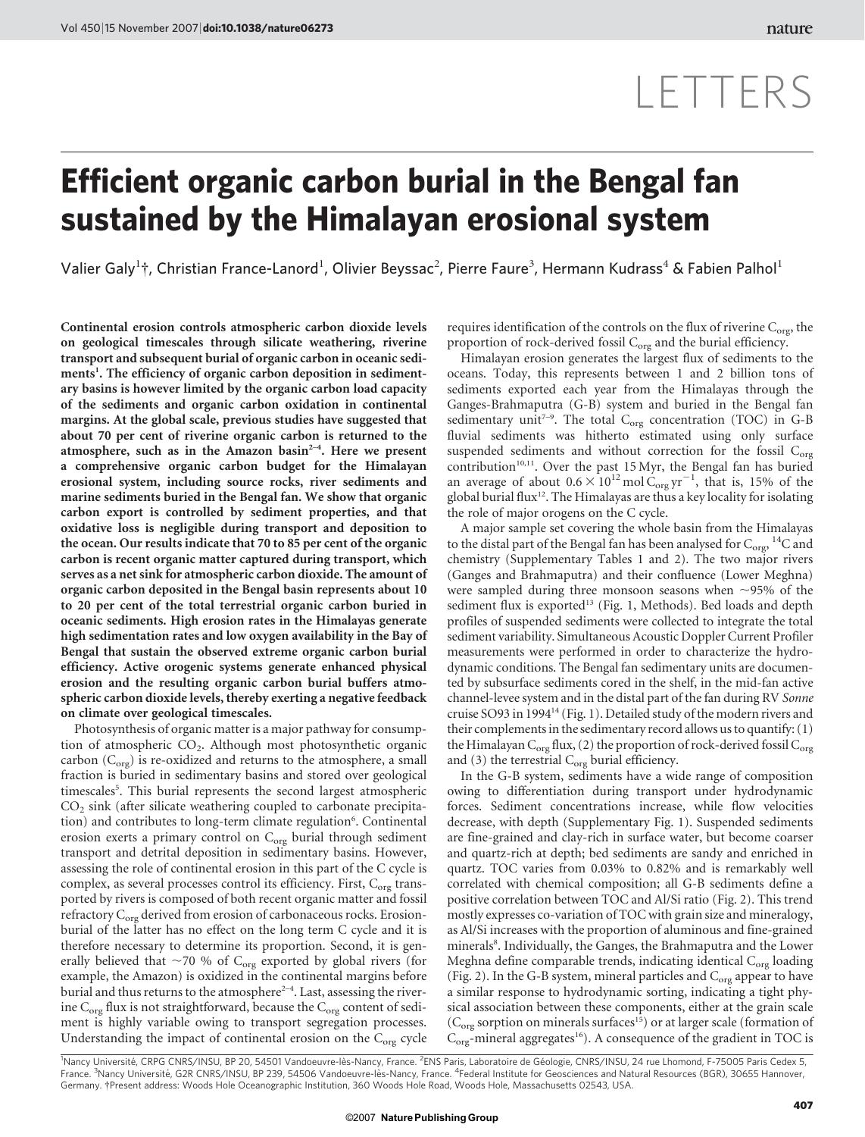# LETTERS

## Efficient organic carbon burial in the Bengal fan sustained by the Himalayan erosional system

Valier Galy<sup>1</sup>†, Christian France-Lanord<sup>1</sup>, Olivier Beyssac<sup>2</sup>, Pierre Faure<sup>3</sup>, Hermann Kudrass<sup>4</sup> & Fabien Palhol<sup>1</sup>

Continental erosion controls atmospheric carbon dioxide levels on geological timescales through silicate weathering, riverine transport and subsequent burial of organic carbon in oceanic sediments<sup>1</sup>. The efficiency of organic carbon deposition in sedimentary basins is however limited by the organic carbon load capacity of the sediments and organic carbon oxidation in continental margins. At the global scale, previous studies have suggested that about 70 per cent of riverine organic carbon is returned to the atmosphere, such as in the Amazon basin<sup>2-4</sup>. Here we present a comprehensive organic carbon budget for the Himalayan erosional system, including source rocks, river sediments and marine sediments buried in the Bengal fan. We show that organic carbon export is controlled by sediment properties, and that oxidative loss is negligible during transport and deposition to the ocean. Our results indicate that 70 to 85 per cent of the organic carbon is recent organic matter captured during transport, which serves as a net sink for atmospheric carbon dioxide. The amount of organic carbon deposited in the Bengal basin represents about 10 to 20 per cent of the total terrestrial organic carbon buried in oceanic sediments. High erosion rates in the Himalayas generate high sedimentation rates and low oxygen availability in the Bay of Bengal that sustain the observed extreme organic carbon burial efficiency. Active orogenic systems generate enhanced physical erosion and the resulting organic carbon burial buffers atmospheric carbon dioxide levels, thereby exerting a negative feedback on climate over geological timescales.

Photosynthesis of organic matter is a major pathway for consumption of atmospheric CO<sub>2</sub>. Although most photosynthetic organic carbon  $(C<sub>org</sub>)$  is re-oxidized and returns to the atmosphere, a small fraction is buried in sedimentary basins and stored over geological timescales<sup>5</sup>. This burial represents the second largest atmospheric  $CO<sub>2</sub>$  sink (after silicate weathering coupled to carbonate precipitation) and contributes to long-term climate regulation<sup>6</sup>. Continental erosion exerts a primary control on C<sub>org</sub> burial through sediment transport and detrital deposition in sedimentary basins. However, assessing the role of continental erosion in this part of the C cycle is complex, as several processes control its efficiency. First, C<sub>org</sub> transported by rivers is composed of both recent organic matter and fossil refractory C<sub>org</sub> derived from erosion of carbonaceous rocks. Erosionburial of the latter has no effect on the long term C cycle and it is therefore necessary to determine its proportion. Second, it is generally believed that  $\sim$ 70 % of C<sub>org</sub> exported by global rivers (for example, the Amazon) is oxidized in the continental margins before burial and thus returns to the atmosphere<sup>2-4</sup>. Last, assessing the riverine  $C_{org}$  flux is not straightforward, because the  $C_{org}$  content of sediment is highly variable owing to transport segregation processes. Understanding the impact of continental erosion on the  $C_{org}$  cycle requires identification of the controls on the flux of riverine  $C_{\text{org}}$ , the proportion of rock-derived fossil  $C_{org}$  and the burial efficiency.

Himalayan erosion generates the largest flux of sediments to the oceans. Today, this represents between 1 and 2 billion tons of sediments exported each year from the Himalayas through the Ganges-Brahmaputra (G-B) system and buried in the Bengal fan sedimentary unit<sup>7-9</sup>. The total  $C_{org}$  concentration (TOC) in G-B fluvial sediments was hitherto estimated using only surface suspended sediments and without correction for the fossil C<sub>org</sub> contribution<sup>10,11</sup>. Over the past 15 Myr, the Bengal fan has buried an average of about  $0.6 \times 10^{12}$  mol  $C_{org}$  yr<sup>-1</sup>, that is, 15% of the global burial flux<sup>12</sup>. The Himalayas are thus a key locality for isolating the role of major orogens on the C cycle.

A major sample set covering the whole basin from the Himalayas to the distal part of the Bengal fan has been analysed for  $\rm{C_{orgs}}$ ,  $\rm ^{14}C$  and chemistry (Supplementary Tables 1 and 2). The two major rivers (Ganges and Brahmaputra) and their confluence (Lower Meghna) were sampled during three monsoon seasons when  $\sim$ 95% of the sediment flux is exported<sup>13</sup> (Fig. 1, Methods). Bed loads and depth profiles of suspended sediments were collected to integrate the total sediment variability. Simultaneous Acoustic Doppler Current Profiler measurements were performed in order to characterize the hydrodynamic conditions. The Bengal fan sedimentary units are documented by subsurface sediments cored in the shelf, in the mid-fan active channel-levee system and in the distal part of the fan during RV Sonne cruise SO93 in 1994<sup>14</sup> (Fig. 1). Detailed study of the modern rivers and their complements in the sedimentary record allows us to quantify: (1) the Himalayan  $C_{\text{org}}$  flux, (2) the proportion of rock-derived fossil  $C_{\text{org}}$ and (3) the terrestrial  $C_{\text{org}}$  burial efficiency.

In the G-B system, sediments have a wide range of composition owing to differentiation during transport under hydrodynamic forces. Sediment concentrations increase, while flow velocities decrease, with depth (Supplementary Fig. 1). Suspended sediments are fine-grained and clay-rich in surface water, but become coarser and quartz-rich at depth; bed sediments are sandy and enriched in quartz. TOC varies from 0.03% to 0.82% and is remarkably well correlated with chemical composition; all G-B sediments define a positive correlation between TOC and Al/Si ratio (Fig. 2). This trend mostly expresses co-variation of TOC with grain size and mineralogy, as Al/Si increases with the proportion of aluminous and fine-grained minerals<sup>8</sup>. Individually, the Ganges, the Brahmaputra and the Lower Meghna define comparable trends, indicating identical C<sub>org</sub> loading (Fig. 2). In the G-B system, mineral particles and  $C_{org}$  appear to have a similar response to hydrodynamic sorting, indicating a tight physical association between these components, either at the grain scale  $(C_{org}$  sorption on minerals surfaces<sup>15</sup>) or at larger scale (formation of  $C_{org}$ -mineral aggregates<sup>16</sup>). A consequence of the gradient in TOC is

<sup>1</sup>Nancy Université, CRPG CNRS/INSU, BP 20, 54501 Vandoeuvre-lès-Nancy, France. <sup>2</sup>ENS Paris, Laboratoire de Géologie, CNRS/INSU, 24 rue Lhomond, F-75005 Paris Cedex 5,<br>France. <sup>3</sup>Nancy Université, G2R CNRS/INSU, BP 239, 5 Germany. {Present address: Woods Hole Oceanographic Institution, 360 Woods Hole Road, Woods Hole, Massachusetts 02543, USA.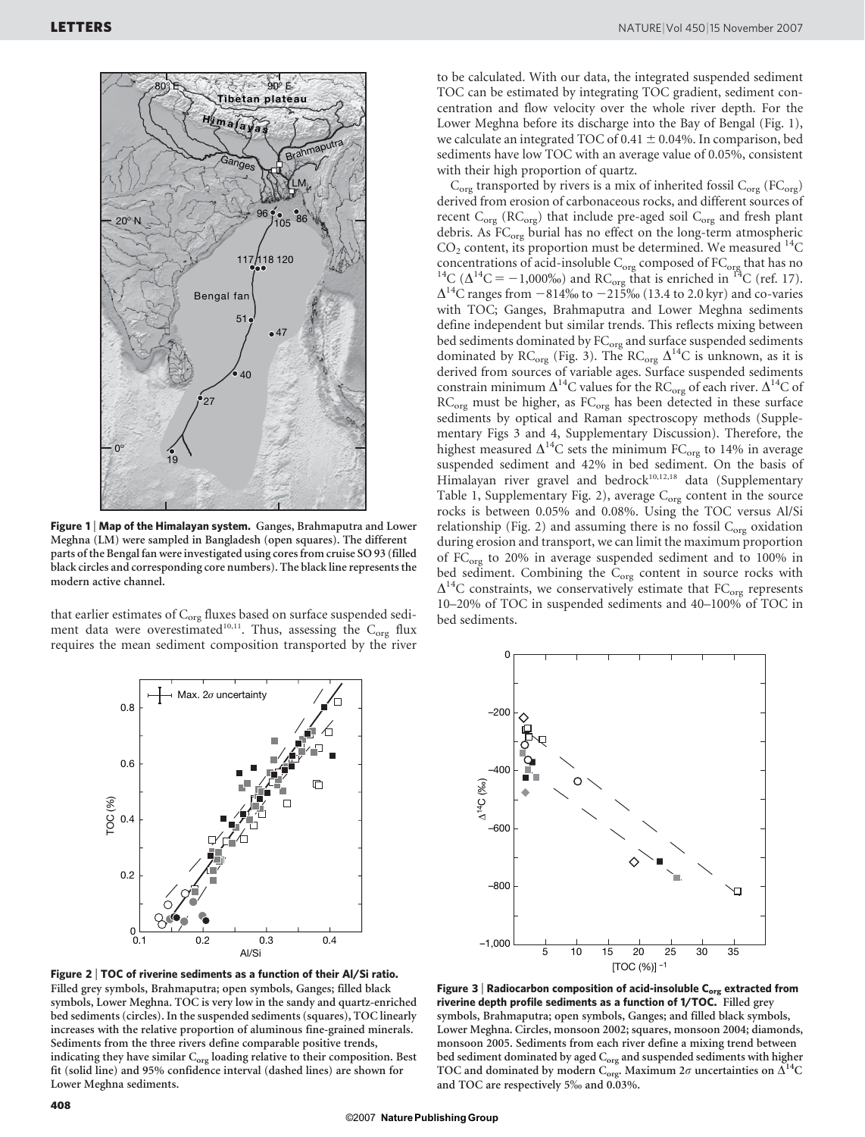

Figure 1 | Map of the Himalayan system. Ganges, Brahmaputra and Lower Meghna (LM) were sampled in Bangladesh (open squares). The different parts of the Bengal fan were investigated using cores from cruise SO 93 (filled black circles and corresponding core numbers). The black line represents the modern active channel.

that earlier estimates of  $C_{org}$  fluxes based on surface suspended sediment data were overestimated<sup>10,11</sup>. Thus, assessing the C<sub>org</sub> flux requires the mean sediment composition transported by the river to be calculated. With our data, the integrated suspended sediment TOC can be estimated by integrating TOC gradient, sediment concentration and flow velocity over the whole river depth. For the Lower Meghna before its discharge into the Bay of Bengal (Fig. 1), we calculate an integrated TOC of 0.41  $\pm$  0.04%. In comparison, bed sediments have low TOC with an average value of 0.05%, consistent with their high proportion of quartz.

 $C_{org}$  transported by rivers is a mix of inherited fossil  $C_{org}$  (F $C_{org}$ ) derived from erosion of carbonaceous rocks, and different sources of recent  $C_{org}$  (R $C_{org}$ ) that include pre-aged soil  $C_{org}$  and fresh plant debris. As FC<sub>org</sub> burial has no effect on the long-term atmospheric  $CO<sub>2</sub>$  content, its proportion must be determined. We measured  $^{14}$ C concentrations of acid-insoluble C<sub>org</sub> composed of FC<sub>org</sub> that has no <sup>14</sup>C ( $\Delta^{14}C = -1,000\%$ ) and RC<sub>org</sub> that is enriched in <sup>14</sup>C (ref. 17).  $\Delta^{14}$ C ranges from  $-814\%$  to  $-215\%$  (13.4 to 2.0 kyr) and co-varies with TOC; Ganges, Brahmaputra and Lower Meghna sediments define independent but similar trends. This reflects mixing between bed sediments dominated by  $FC_{org}$  and surface suspended sediments dominated by RC<sub>org</sub> (Fig. 3). The RC<sub>org</sub>  $\Delta^{14}$ C is unknown, as it is derived from sources of variable ages. Surface suspended sediments constrain minimum  $\Delta^{14}C$  values for the RC<sub>org</sub> of each river.  $\Delta^{14}C$  of RC<sub>org</sub> must be higher, as FC<sub>org</sub> has been detected in these surface sediments by optical and Raman spectroscopy methods (Supplementary Figs 3 and 4, Supplementary Discussion). Therefore, the highest measured  $\Delta^{14}$ C sets the minimum FC<sub>org</sub> to 14% in average suspended sediment and 42% in bed sediment. On the basis of Himalayan river gravel and bedrock<sup>10,12,18</sup> data (Supplementary Table 1, Supplementary Fig. 2), average  $C_{org}$  content in the source rocks is between 0.05% and 0.08%. Using the TOC versus Al/Si relationship (Fig. 2) and assuming there is no fossil  $C_{org}$  oxidation during erosion and transport, we can limit the maximum proportion of FC<sub>org</sub> to 20% in average suspended sediment and to 100% in bed sediment. Combining the  $C_{org}$  content in source rocks with  $\Delta^{14}$ C constraints, we conservatively estimate that FC<sub>org</sub> represents 10–20% of TOC in suspended sediments and 40–100% of TOC in bed sediments.



Figure 2 <sup>|</sup> TOC of riverine sediments as a function of their Al/Si ratio. Filled grey symbols, Brahmaputra; open symbols, Ganges; filled black symbols, Lower Meghna. TOC is very low in the sandy and quartz-enriched bed sediments (circles). In the suspended sediments (squares), TOC linearly increases with the relative proportion of aluminous fine-grained minerals. Sediments from the three rivers define comparable positive trends, indicating they have similar C<sub>org</sub> loading relative to their composition. Best fit (solid line) and 95% confidence interval (dashed lines) are shown for Lower Meghna sediments.



Figure 3 | Radiocarbon composition of acid-insoluble  $C_{org}$  extracted from riverine depth profile sediments as a function of 1/TOC. Filled grey symbols, Brahmaputra; open symbols, Ganges; and filled black symbols, Lower Meghna. Circles, monsoon 2002; squares, monsoon 2004; diamonds, monsoon 2005. Sediments from each river define a mixing trend between bed sediment dominated by aged  $\mathbf{C_{org}}$  and suspended sediments with higher TOC and dominated by modern C<sub>org</sub>. Maximum  $2\sigma$  uncertainties on  $\tilde{\Delta}^{14}$ C and TOC are respectively 5‰ and 0.03%.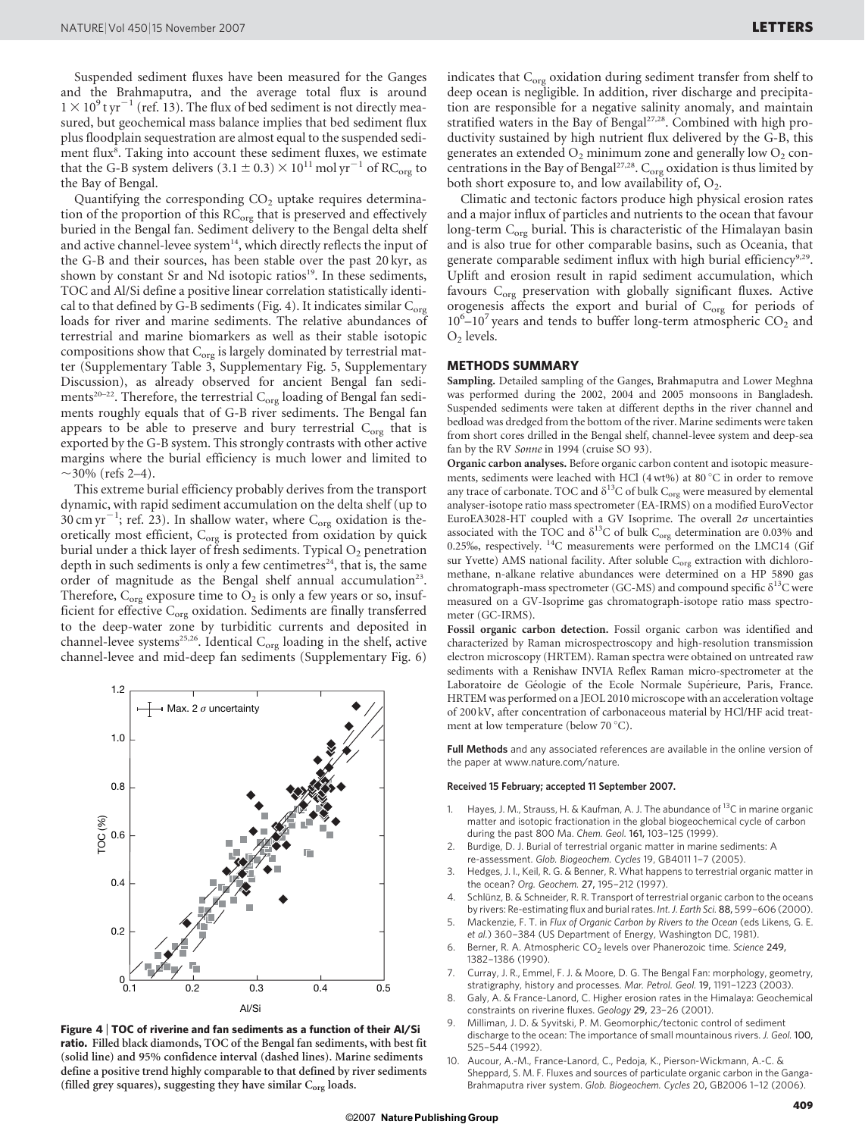Suspended sediment fluxes have been measured for the Ganges and the Brahmaputra, and the average total flux is around  $1\times 10^9$ t yr $^{-1}$  (ref. 13). The flux of bed sediment is not directly measured, but geochemical mass balance implies that bed sediment flux plus floodplain sequestration are almost equal to the suspended sediment flux<sup>8</sup>. Taking into account these sediment fluxes, we estimate that the G-B system delivers (3.1  $\pm$  0.3)  $\times$  10<sup>11</sup> mol yr<sup>-1</sup> of RC<sub>org</sub> to the Bay of Bengal.

Quantifying the corresponding  $CO<sub>2</sub>$  uptake requires determination of the proportion of this  $RC<sub>org</sub>$  that is preserved and effectively buried in the Bengal fan. Sediment delivery to the Bengal delta shelf and active channel-levee system $14$ , which directly reflects the input of the G-B and their sources, has been stable over the past 20 kyr, as shown by constant Sr and Nd isotopic ratios<sup>19</sup>. In these sediments, TOC and Al/Si define a positive linear correlation statistically identical to that defined by G-B sediments (Fig. 4). It indicates similar  $C_{\text{org}}$ loads for river and marine sediments. The relative abundances of terrestrial and marine biomarkers as well as their stable isotopic compositions show that  $C_{org}$  is largely dominated by terrestrial matter (Supplementary Table 3, Supplementary Fig. 5, Supplementary Discussion), as already observed for ancient Bengal fan sediments<sup>20–22</sup>. Therefore, the terrestrial  $C_{org}$  loading of Bengal fan sediments roughly equals that of G-B river sediments. The Bengal fan appears to be able to preserve and bury terrestrial  $C_{org}$  that is exported by the G-B system. This strongly contrasts with other active margins where the burial efficiency is much lower and limited to  $\sim$ 30% (refs 2–4).

This extreme burial efficiency probably derives from the transport dynamic, with rapid sediment accumulation on the delta shelf (up to  $30 \text{ cm yr}^{-1}$ ; ref. 23). In shallow water, where  $C_{org}$  oxidation is theoretically most efficient, C<sub>org</sub> is protected from oxidation by quick burial under a thick layer of fresh sediments. Typical O<sub>2</sub> penetration depth in such sediments is only a few centimetres<sup>24</sup>, that is, the same order of magnitude as the Bengal shelf annual accumulation<sup>23</sup>. Therefore,  $C_{org}$  exposure time to  $O_2$  is only a few years or so, insufficient for effective C<sub>org</sub> oxidation. Sediments are finally transferred to the deep-water zone by turbiditic currents and deposited in channel-levee systems<sup>25,26</sup>. Identical  $C_{org}$  loading in the shelf, active channel-levee and mid-deep fan sediments (Supplementary Fig. 6)



Figure 4 <sup>|</sup> TOC of riverine and fan sediments as a function of their Al/Si ratio. Filled black diamonds, TOC of the Bengal fan sediments, with best fit (solid line) and 95% confidence interval (dashed lines). Marine sediments define a positive trend highly comparable to that defined by river sediments (filled grey squares), suggesting they have similar  $C_{org}$  loads.

indicates that  $C_{org}$  oxidation during sediment transfer from shelf to deep ocean is negligible. In addition, river discharge and precipitation are responsible for a negative salinity anomaly, and maintain stratified waters in the Bay of Bengal<sup>27,28</sup>. Combined with high productivity sustained by high nutrient flux delivered by the G-B, this generates an extended  $O_2$  minimum zone and generally low  $O_2$  concentrations in the Bay of Bengal<sup>27,28</sup>. C<sub>org</sub> oxidation is thus limited by both short exposure to, and low availability of,  $O_2$ .

Climatic and tectonic factors produce high physical erosion rates and a major influx of particles and nutrients to the ocean that favour long-term  $C_{\text{org}}$  burial. This is characteristic of the Himalayan basin and is also true for other comparable basins, such as Oceania, that generate comparable sediment influx with high burial efficiency<sup>9,29</sup>. Uplift and erosion result in rapid sediment accumulation, which favours  $C_{org}$  preservation with globally significant fluxes. Active orogenesis affects the export and burial of  $C_{org}$  for periods of  $10^6 - 10^7$  years and tends to buffer long-term atmospheric CO<sub>2</sub> and  $O<sub>2</sub>$  levels.

#### METHODS SUMMARY

Sampling. Detailed sampling of the Ganges, Brahmaputra and Lower Meghna was performed during the 2002, 2004 and 2005 monsoons in Bangladesh. Suspended sediments were taken at different depths in the river channel and bedload was dredged from the bottom of the river. Marine sediments were taken from short cores drilled in the Bengal shelf, channel-levee system and deep-sea fan by the RV Sonne in 1994 (cruise SO 93).

Organic carbon analyses. Before organic carbon content and isotopic measurements, sediments were leached with HCl (4 wt%) at 80 °C in order to remove any trace of carbonate. TOC and  $\delta^{13}$ C of bulk C<sub>org</sub> were measured by elemental analyser-isotope ratio mass spectrometer (EA-IRMS) on a modified EuroVector EuroEA3028-HT coupled with a GV Isoprime. The overall  $2\sigma$  uncertainties associated with the TOC and  $\delta^{13}$ C of bulk C<sub>org</sub> determination are 0.03% and 0.25%, respectively. 14C measurements were performed on the LMC14 (Gif sur Yvette) AMS national facility. After soluble  $C_{org}$  extraction with dichloromethane, n-alkane relative abundances were determined on a HP 5890 gas chromatograph-mass spectrometer (GC-MS) and compound specific  $\delta^{13}$ C were measured on a GV-Isoprime gas chromatograph-isotope ratio mass spectrometer (GC-IRMS).

Fossil organic carbon detection. Fossil organic carbon was identified and characterized by Raman microspectroscopy and high-resolution transmission electron microscopy (HRTEM). Raman spectra were obtained on untreated raw sediments with a Renishaw INVIA Reflex Raman micro-spectrometer at the Laboratoire de Géologie of the Ecole Normale Supérieure, Paris, France. HRTEM was performed on a JEOL 2010 microscope with an acceleration voltage of 200 kV, after concentration of carbonaceous material by HCl/HF acid treatment at low temperature (below 70 °C).

Full Methods and any associated references are available in the online version of the paper at<www.nature.com/nature>.

#### Received 15 February; accepted 11 September 2007.

- 1. Hayes, J. M., Strauss, H. & Kaufman, A. J. The abundance of  $^{13}C$  in marine organic matter and isotopic fractionation in the global biogeochemical cycle of carbon during the past 800 Ma. Chem. Geol. 161, 103–125 (1999).
- 2. Burdige, D. J. Burial of terrestrial organic matter in marine sediments: A re-assessment. Glob. Biogeochem. Cycles 19, GB4011 1–7 (2005).
- 3. Hedges, J. I., Keil, R. G. & Benner, R. What happens to terrestrial organic matter in the ocean? Org. Geochem. 27, 195–212 (1997).
- 4. Schlünz, B. & Schneider, R. R. Transport of terrestrial organic carbon to the oceans by rivers: Re-estimating flux and burial rates. Int. J. Earth Sci. 88, 599–606 (2000).
- 5. Mackenzie, F. T. in Flux of Organic Carbon by Rivers to the Ocean (eds Likens, G. E. et al.) 360–384 (US Department of Energy, Washington DC, 1981).
- 6. Berner, R. A. Atmospheric  $CO<sub>2</sub>$  levels over Phanerozoic time. Science 249, 1382–1386 (1990).
- 7. Curray, J. R., Emmel, F. J. & Moore, D. G. The Bengal Fan: morphology, geometry, stratigraphy, history and processes. Mar. Petrol. Geol. 19, 1191–1223 (2003).
- 8. Galy, A. & France-Lanord, C. Higher erosion rates in the Himalaya: Geochemical constraints on riverine fluxes. Geology 29, 23–26 (2001).
- 9. Milliman, J. D. & Syvitski, P. M. Geomorphic/tectonic control of sediment discharge to the ocean: The importance of small mountainous rivers. J. Geol. 100, 525–544 (1992).
- 10. Aucour, A.-M., France-Lanord, C., Pedoja, K., Pierson-Wickmann, A.-C. & Sheppard, S. M. F. Fluxes and sources of particulate organic carbon in the Ganga-Brahmaputra river system. Glob. Biogeochem. Cycles 20, GB2006 1–12 (2006).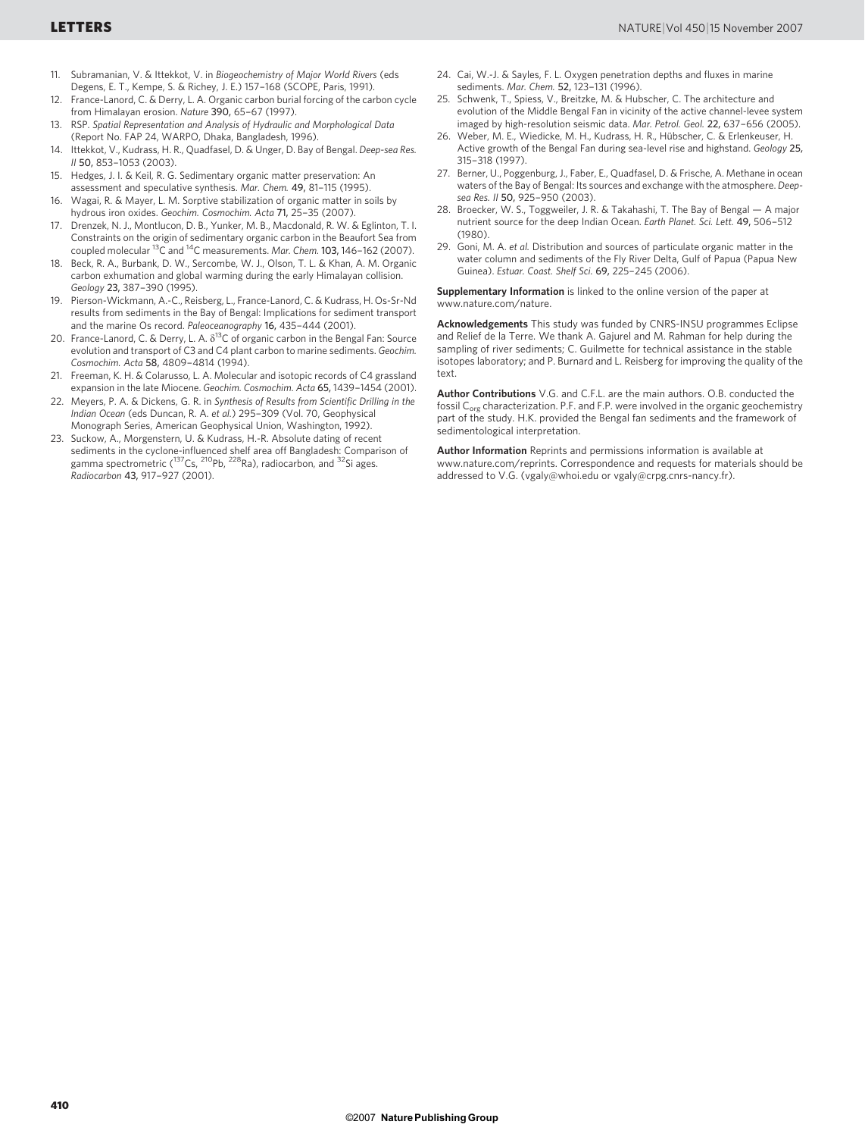- 11. Subramanian, V. & Ittekkot, V. in Biogeochemistry of Major World Rivers (eds Degens, E. T., Kempe, S. & Richey, J. E.) 157–168 (SCOPE, Paris, 1991).
- 12. France-Lanord, C. & Derry, L. A. Organic carbon burial forcing of the carbon cycle from Himalayan erosion. Nature 390, 65–67 (1997).
- 13. RSP. Spatial Representation and Analysis of Hydraulic and Morphological Data (Report No. FAP 24, WARPO, Dhaka, Bangladesh, 1996).
- 14. Ittekkot, V., Kudrass, H. R., Quadfasel, D. & Unger, D. Bay of Bengal. Deep-sea Res. II 50, 853–1053 (2003).
- 15. Hedges, J. I. & Keil, R. G. Sedimentary organic matter preservation: An assessment and speculative synthesis. Mar. Chem. 49, 81–115 (1995).
- 16. Wagai, R. & Mayer, L. M. Sorptive stabilization of organic matter in soils by hydrous iron oxides. Geochim. Cosmochim. Acta 71, 25–35 (2007).
- 17. Drenzek, N. J., Montlucon, D. B., Yunker, M. B., Macdonald, R. W. & Eglinton, T. I. Constraints on the origin of sedimentary organic carbon in the Beaufort Sea from coupled molecular 13C and 14C measurements. Mar. Chem. 103, 146–162 (2007).
- 18. Beck, R. A., Burbank, D. W., Sercombe, W. J., Olson, T. L. & Khan, A. M. Organic carbon exhumation and global warming during the early Himalayan collision. Geology 23, 387–390 (1995).
- 19. Pierson-Wickmann, A.-C., Reisberg, L., France-Lanord, C. & Kudrass, H. Os-Sr-Nd results from sediments in the Bay of Bengal: Implications for sediment transport and the marine Os record. Paleoceanography 16, 435–444 (2001).
- 20. France-Lanord, C. & Derry, L. A.  $\delta^{13}$ C of organic carbon in the Bengal Fan: Source evolution and transport of C3 and C4 plant carbon to marine sediments. Geochim. Cosmochim. Acta 58, 4809–4814 (1994).
- 21. Freeman, K. H. & Colarusso, L. A. Molecular and isotopic records of C4 grassland expansion in the late Miocene. Geochim. Cosmochim. Acta 65, 1439–1454 (2001).
- 22. Meyers, P. A. & Dickens, G. R. in Synthesis of Results from Scientific Drilling in the Indian Ocean (eds Duncan, R. A. et al.) 295–309 (Vol. 70, Geophysical Monograph Series, American Geophysical Union, Washington, 1992).
- 23. Suckow, A., Morgenstern, U. & Kudrass, H.-R. Absolute dating of recent sediments in the cyclone-influenced shelf area off Bangladesh: Comparison of gamma spectrometric (<sup>137</sup>Cs, <sup>210</sup>Pb, <sup>228</sup>Ra), radiocarbon, and <sup>32</sup>Si ages. Radiocarbon 43, 917–927 (2001).
- 24. Cai, W.-J. & Sayles, F. L. Oxygen penetration depths and fluxes in marine sediments. Mar. Chem. 52, 123–131 (1996).
- 25. Schwenk, T., Spiess, V., Breitzke, M. & Hubscher, C. The architecture and evolution of the Middle Bengal Fan in vicinity of the active channel-levee system imaged by high-resolution seismic data. Mar. Petrol. Geol. 22, 637–656 (2005).
- 26. Weber, M. E., Wiedicke, M. H., Kudrass, H. R., Hübscher, C. & Erlenkeuser, H. Active growth of the Bengal Fan during sea-level rise and highstand. Geology 25, 315–318 (1997).
- 27. Berner, U., Poggenburg, J., Faber, E., Quadfasel, D. & Frische, A. Methane in ocean waters of the Bay of Bengal: Its sources and exchange with the atmosphere. Deepsea Res. II 50, 925–950 (2003).
- 28. Broecker, W. S., Toggweiler, J. R. & Takahashi, T. The Bay of Bengal A major nutrient source for the deep Indian Ocean. Earth Planet. Sci. Lett. 49, 506–512 (1980).
- 29. Goni, M. A. et al. Distribution and sources of particulate organic matter in the water column and sediments of the Fly River Delta, Gulf of Papua (Papua New Guinea). Estuar. Coast. Shelf Sci. 69, 225–245 (2006).

Supplementary Information is linked to the online version of the paper at <www.nature.com/nature>.

Acknowledgements This study was funded by CNRS-INSU programmes Eclipse and Relief de la Terre. We thank A. Gajurel and M. Rahman for help during the sampling of river sediments; C. Guilmette for technical assistance in the stable isotopes laboratory; and P. Burnard and L. Reisberg for improving the quality of the text.

Author Contributions V.G. and C.F.L. are the main authors. O.B. conducted the fossil C<sub>org</sub> characterization. P.F. and F.P. were involved in the organic geochemistry part of the study. H.K. provided the Bengal fan sediments and the framework of sedimentological interpretation.

Author Information Reprints and permissions information is available at <www.nature.com/reprints>. Correspondence and requests for materials should be addressed to V.G. [\(vgaly@whoi.edu](mailto:vgaly@whoi.edu) or [vgaly@crpg.cnrs-nancy.fr\)](mailto:vgaly@crpg.cnrs-nancy.fr).